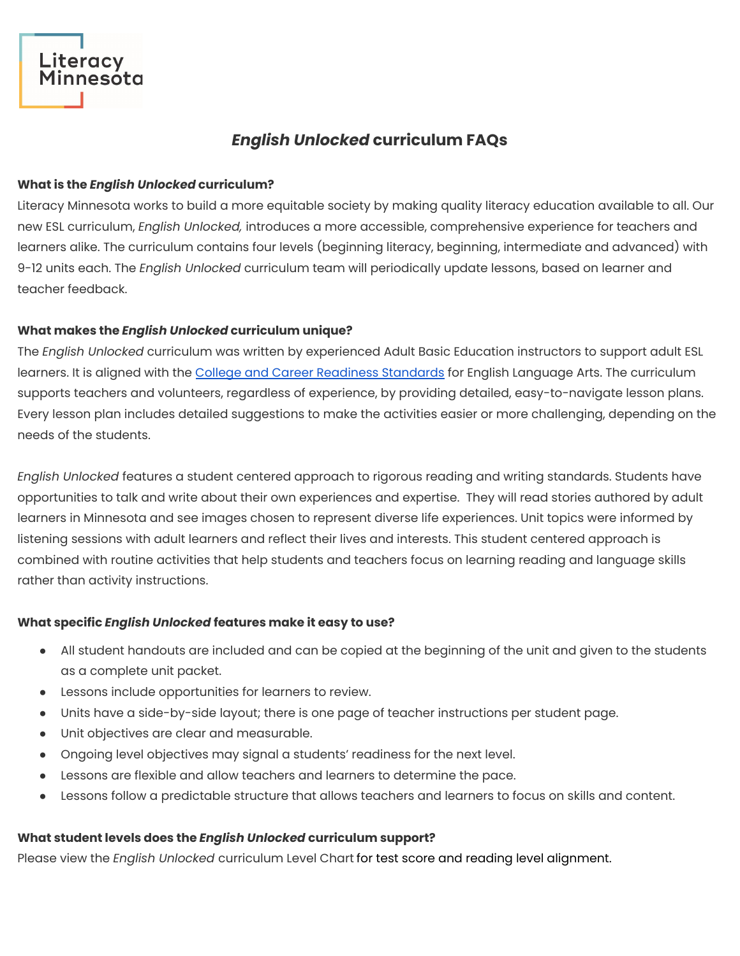# *English Unlocked* **curriculum FAQs**

## **What is the** *English Unlocked* **curriculum?**

Literacy Minnesota works to build a more equitable society by making quality literacy education available to all. Our new ESL curriculum, *English Unlocked,* introduces a more accessible, comprehensive experience for teachers and learners alike. The curriculum contains four levels (beginning literacy, beginning, intermediate and advanced) with 9-12 units each. The *English Unlocked* curriculum team will periodically update lessons, based on learner and teacher feedback.

# **What makes the** *English Unlocked* **curriculum unique?**

The *English Unlocked* curriculum was written by experienced Adult Basic Education instructors to support adult ESL learners. It is aligned with the College and Career Readiness [Standards](https://lincs.ed.gov/publications/pdf/CCRStandardsAdultEd.pdf) for English Language Arts. The curriculum supports teachers and volunteers, regardless of experience, by providing detailed, easy-to-navigate lesson plans. Every lesson plan includes detailed suggestions to make the activities easier or more challenging, depending on the needs of the students.

*English Unlocked* features a student centered approach to rigorous reading and writing standards. Students have opportunities to talk and write about their own experiences and expertise. They will read stories authored by adult learners in Minnesota and see images chosen to represent diverse life experiences. Unit topics were informed by listening sessions with adult learners and reflect their lives and interests. This student centered approach is combined with routine activities that help students and teachers focus on learning reading and language skills rather than activity instructions.

# **What specific** *English Unlocked* **features make it easy to use?**

- All student handouts are included and can be copied at the beginning of the unit and given to the students as a complete unit packet.
- Lessons include opportunities for learners to review.
- Units have a side-by-side layout; there is one page of teacher instructions per student page.
- Unit objectives are clear and measurable.
- Ongoing level objectives may signal a students' readiness for the next level.
- Lessons are flexible and allow teachers and learners to determine the pace.
- Lessons follow a predictable structure that allows teachers and learners to focus on skills and content.

# **What student levels does the** *English Unlocked* **curriculum support?**

Please view the *English Unlocked* curriculum Level Chart for test score and reading level alignment.